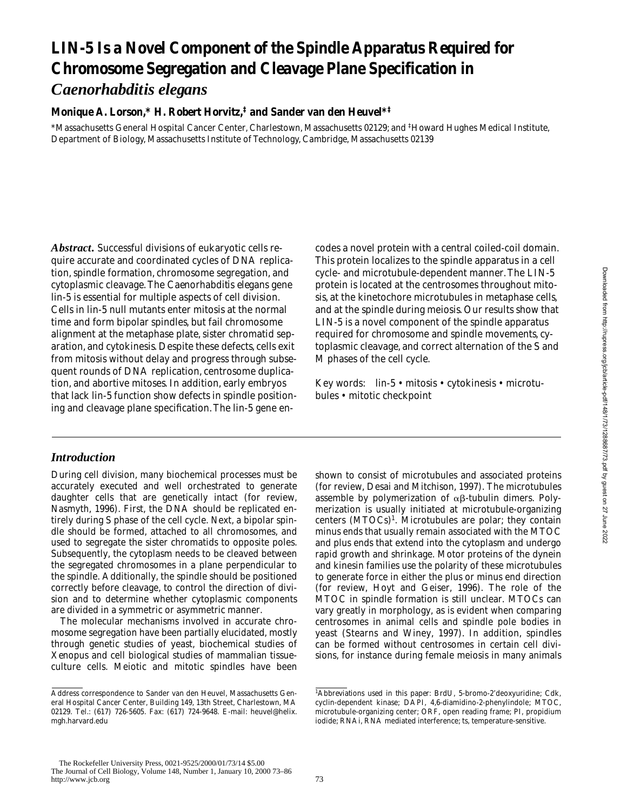# **LIN-5 Is a Novel Component of the Spindle Apparatus Required for Chromosome Segregation and Cleavage Plane Specification in**  *Caenorhabditis elegans*

## **Monique A. Lorson,\* H. Robert Horvitz,‡ and Sander van den Heuvel\*‡**

\*Massachusetts General Hospital Cancer Center, Charlestown, Massachusetts 02129; and ‡ Howard Hughes Medical Institute, Department of Biology, Massachusetts Institute of Technology, Cambridge, Massachusetts 02139

*Abstract.* Successful divisions of eukaryotic cells require accurate and coordinated cycles of DNA replication, spindle formation, chromosome segregation, and cytoplasmic cleavage. The *Caenorhabditis elegans* gene *lin-5* is essential for multiple aspects of cell division. Cells in *lin-5* null mutants enter mitosis at the normal time and form bipolar spindles, but fail chromosome alignment at the metaphase plate, sister chromatid separation, and cytokinesis. Despite these defects, cells exit from mitosis without delay and progress through subsequent rounds of DNA replication, centrosome duplication, and abortive mitoses. In addition, early embryos that lack *lin-5* function show defects in spindle positioning and cleavage plane specification. The *lin-5* gene en-

# *• Introduction*

During cell division, many biochemical processes must be accurately executed and well orchestrated to generate daughter cells that are genetically intact (for review, Nasmyth, 1996). First, the DNA should be replicated entirely during S phase of the cell cycle. Next, a bipolar spindle should be formed, attached to all chromosomes, and used to segregate the sister chromatids to opposite poles. Subsequently, the cytoplasm needs to be cleaved between the segregated chromosomes in a plane perpendicular to the spindle. Additionally, the spindle should be positioned correctly before cleavage, to control the direction of division and to determine whether cytoplasmic components are divided in a symmetric or asymmetric manner.

The molecular mechanisms involved in accurate chromosome segregation have been partially elucidated, mostly through genetic studies of yeast, biochemical studies of *Xenopus* and cell biological studies of mammalian tissueculture cells. Meiotic and mitotic spindles have been codes a novel protein with a central coiled-coil domain. This protein localizes to the spindle apparatus in a cell cycle- and microtubule-dependent manner. The LIN-5 protein is located at the centrosomes throughout mitosis, at the kinetochore microtubules in metaphase cells, and at the spindle during meiosis. Our results show that LIN-5 is a novel component of the spindle apparatus required for chromosome and spindle movements, cytoplasmic cleavage, and correct alternation of the S and M phases of the cell cycle.

Key words: *lin-5* • mitosis • cytokinesis • microtubules • mitotic checkpoint

shown to consist of microtubules and associated proteins (for review, Desai and Mitchison, 1997). The microtubules assemble by polymerization of  $\alpha\beta$ -tubulin dimers. Polymerization is usually initiated at microtubule-organizing centers (MTOCs)<sup>1</sup>. Microtubules are polar; they contain minus ends that usually remain associated with the MTOC and plus ends that extend into the cytoplasm and undergo rapid growth and shrinkage. Motor proteins of the dynein and kinesin families use the polarity of these microtubules to generate force in either the plus or minus end direction (for review, Hoyt and Geiser, 1996). The role of the MTOC in spindle formation is still unclear. MTOCs can vary greatly in morphology, as is evident when comparing centrosomes in animal cells and spindle pole bodies in yeast (Stearns and Winey, 1997). In addition, spindles can be formed without centrosomes in certain cell divisions, for instance during female meiosis in many animals Downloaded from http://rupress.org/jcb/article-pdf/148/1/73/1288687/73.pdf by guest on 27 June 2022 Downloaded from http://rupress.org/jcb/article-pdf/148/1/73/1288687/73.pdf by guest on 27 June 2022

Address correspondence to Sander van den Heuvel, Massachusetts General Hospital Cancer Center, Building 149, 13th Street, Charlestown, MA 02129. Tel.: (617) 726-5605. Fax: (617) 724-9648. E-mail: heuvel@helix. mgh.harvard.edu

<sup>&</sup>lt;sup>1</sup>Abbreviations used in this paper: BrdU, 5-bromo-2'deoxyuridine; Cdk, cyclin-dependent kinase; DAPI, 4,6-diamidino-2-phenylindole; MTOC, microtubule-organizing center; ORF, open reading frame; PI, propidium iodide; RNAi, RNA mediated interference; ts, temperature-sensitive.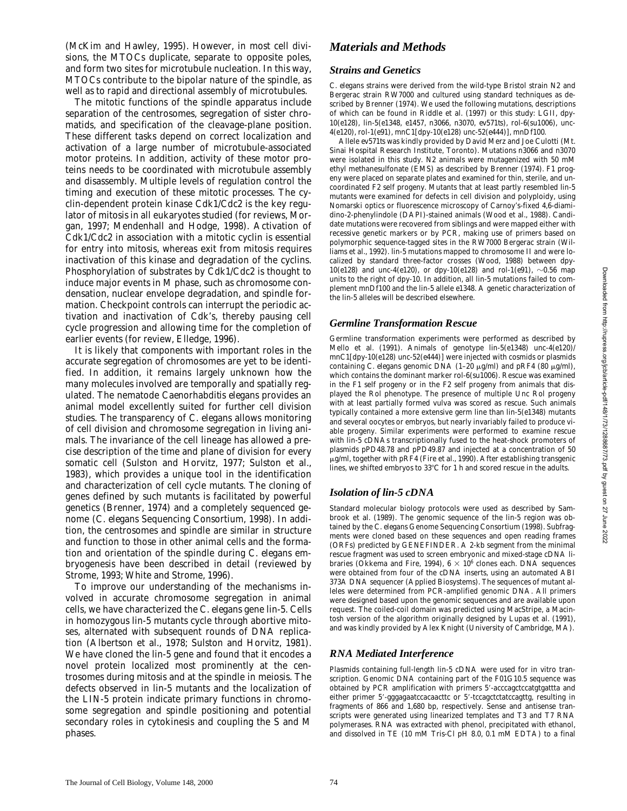(McKim and Hawley, 1995). However, in most cell divisions, the MTOCs duplicate, separate to opposite poles, and form two sites for microtubule nucleation. In this way, MTOCs contribute to the bipolar nature of the spindle, as well as to rapid and directional assembly of microtubules.

The mitotic functions of the spindle apparatus include separation of the centrosomes, segregation of sister chromatids, and specification of the cleavage-plane position. These different tasks depend on correct localization and activation of a large number of microtubule-associated motor proteins. In addition, activity of these motor proteins needs to be coordinated with microtubule assembly and disassembly. Multiple levels of regulation control the timing and execution of these mitotic processes. The cyclin-dependent protein kinase Cdk1/Cdc2 is the key regulator of mitosis in all eukaryotes studied (for reviews, Morgan, 1997; Mendenhall and Hodge, 1998). Activation of Cdk1/Cdc2 in association with a mitotic cyclin is essential for entry into mitosis, whereas exit from mitosis requires inactivation of this kinase and degradation of the cyclins. Phosphorylation of substrates by Cdk1/Cdc2 is thought to induce major events in M phase, such as chromosome condensation, nuclear envelope degradation, and spindle formation. Checkpoint controls can interrupt the periodic activation and inactivation of Cdk's, thereby pausing cell cycle progression and allowing time for the completion of earlier events (for review, Elledge, 1996).

It is likely that components with important roles in the accurate segregation of chromosomes are yet to be identified. In addition, it remains largely unknown how the many molecules involved are temporally and spatially regulated. The nematode *Caenorhabditis elegans* provides an animal model excellently suited for further cell division studies. The transparency of *C*. *elegans* allows monitoring of cell division and chromosome segregation in living animals. The invariance of the cell lineage has allowed a precise description of the time and plane of division for every somatic cell (Sulston and Horvitz, 1977; Sulston et al., 1983), which provides a unique tool in the identification and characterization of cell cycle mutants. The cloning of genes defined by such mutants is facilitated by powerful genetics (Brenner, 1974) and a completely sequenced genome (*C*. *elegans* Sequencing Consortium, 1998). In addition, the centrosomes and spindle are similar in structure and function to those in other animal cells and the formation and orientation of the spindle during *C*. *elegans* embryogenesis have been described in detail (reviewed by Strome, 1993; White and Strome, 1996).

To improve our understanding of the mechanisms involved in accurate chromosome segregation in animal cells, we have characterized the *C*. *elegans* gene *lin-5*. Cells in homozygous *lin-5* mutants cycle through abortive mitoses, alternated with subsequent rounds of DNA replication (Albertson et al., 1978; Sulston and Horvitz, 1981). We have cloned the *lin-5* gene and found that it encodes a novel protein localized most prominently at the centrosomes during mitosis and at the spindle in meiosis. The defects observed in *lin-5* mutants and the localization of the LIN-5 protein indicate primary functions in chromosome segregation and spindle positioning and potential secondary roles in cytokinesis and coupling the S and M phases.

# *Materials and Methods*

## *Strains and Genetics*

*C*. *elegans* strains were derived from the wild-type Bristol strain N2 and Bergerac strain RW7000 and cultured using standard techniques as described by Brenner (1974). We used the following mutations, descriptions of which can be found in Riddle et al. (1997) or this study: LGII, *dpy-10(e128), lin-5(e1348, e1457, n3066, n3070, ev571ts), rol-6(su1006)*, *unc-4(e120), rol-1(e91), mnC1[dpy-10(e128) unc-52(e444)], mnDf100*.

Allele *ev571ts* was kindly provided by David Merz and Joe Culotti (Mt. Sinai Hospital Research Institute, Toronto). Mutations *n3066* and *n3070* were isolated in this study. N2 animals were mutagenized with 50 mM ethyl methanesulfonate (EMS) as described by Brenner (1974). F1 progeny were placed on separate plates and examined for thin, sterile, and uncoordinated F2 self progeny. Mutants that at least partly resembled *lin-5* mutants were examined for defects in cell division and polyploidy, using Nomarski optics or fluorescence microscopy of Carnoy's-fixed 4,6-diamidino-2-phenylindole (DAPI)-stained animals (Wood et al., 1988). Candidate mutations were recovered from siblings and were mapped either with recessive genetic markers or by PCR, making use of primers based on polymorphic sequence-tagged sites in the RW7000 Bergerac strain (Williams et al., 1992). *lin-5* mutations mapped to chromosome II and were localized by standard three-factor crosses (Wood, 1988) between *dpy-10(e128)* and *unc-4(e120)*, or *dpy-10(e128)* and *rol-1(e91)*,  $\sim$ 0.56 map units to the right of *dpy-10*. In addition, all *lin-5* mutations failed to complement *mnDf100* and the *lin-5* allele *e1348*. A genetic characterization of the *lin-5* alleles will be described elsewhere.

## *Germline Transformation Rescue*

Germline transformation experiments were performed as described by Mello et al. (1991). Animals of genotype *lin-5(e1348) unc-4(e120)/ mnC1[dpy-10(e128) unc-52(e444)]* were injected with cosmids or plasmids containing *C. elegans* genomic DNA (1-20 μg/ml) and pRF4 (80 μg/ml), which contains the dominant marker *rol-6(su1006)*. Rescue was examined in the F1 self progeny or in the F2 self progeny from animals that displayed the Rol phenotype. The presence of multiple Unc Rol progeny with at least partially formed vulva was scored as rescue. Such animals typically contained a more extensive germ line than *lin-5(e1348)* mutants and several oocytes or embryos, but nearly invariably failed to produce viable progeny. Similar experiments were performed to examine rescue with *lin-5* cDNAs transcriptionally fused to the heat-shock promoters of plasmids pPD48.78 and pPD49.87 and injected at a concentration of 50 mg/ml, together with pRF4 (Fire et al., 1990). After establishing transgenic lines, we shifted embryos to  $33^{\circ}$ C for 1 h and scored rescue in the adults.

# *Isolation of lin-5 cDNA*

Standard molecular biology protocols were used as described by Sambrook et al. (1989). The genomic sequence of the *lin-5* region was obtained by the *C*. *elegans* Genome Sequencing Consortium (1998). Subfragments were cloned based on these sequences and open reading frames (ORFs) predicted by GENEFINDER. A 2-kb segment from the minimal rescue fragment was used to screen embryonic and mixed-stage cDNA libraries (Okkema and Fire, 1994),  $6 \times 10^6$  clones each. DNA sequences were obtained from four of the cDNA inserts, using an automated ABI 373A DNA sequencer (Applied Biosystems). The sequences of mutant alleles were determined from PCR-amplified genomic DNA. All primers were designed based upon the genomic sequences and are available upon request. The coiled-coil domain was predicted using MacStripe, a Macintosh version of the algorithm originally designed by Lupas et al. (1991), and was kindly provided by Alex Knight (University of Cambridge, MA).

# *RNA Mediated Interference*

Plasmids containing full-length *lin-5* cDNA were used for in vitro transcription. Genomic DNA containing part of the F01G10.5 sequence was obtained by PCR amplification with primers 5'-acccagctccatgtgattta and either primer 5'-gggagaatccacaacttc or 5'-tccagctctatccagttg, resulting in fragments of 866 and 1,680 bp, respectively. Sense and antisense transcripts were generated using linearized templates and T3 and T7 RNA polymerases. RNA was extracted with phenol, precipitated with ethanol, and dissolved in TE (10 mM Tris-Cl pH 8.0, 0.1 mM EDTA) to a final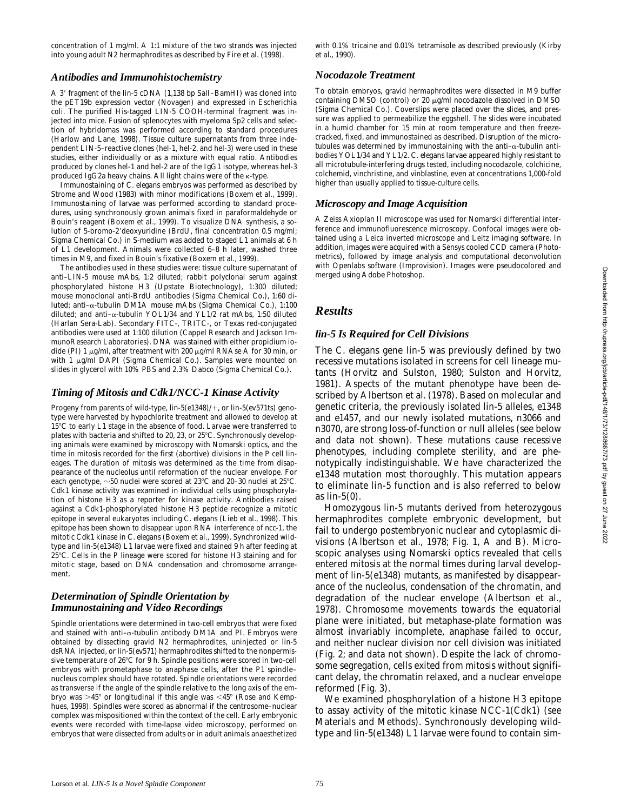concentration of 1 mg/ml. A 1:1 mixture of the two strands was injected into young adult N2 hermaphrodites as described by Fire et al. (1998).

#### *Antibodies and Immunohistochemistry*

A 3' fragment of the *lin-5* cDNA (1,138 bp SalI-BamHI) was cloned into the pET19b expression vector (Novagen) and expressed in *Escherichia coli*. The purified His-tagged LIN-5 COOH-terminal fragment was injected into mice. Fusion of splenocytes with myeloma Sp2 cells and selection of hybridomas was performed according to standard procedures (Harlow and Lane, 1998). Tissue culture supernatants from three independent LIN-5–reactive clones (hel-1, hel-2, and hel-3) were used in these studies, either individually or as a mixture with equal ratio. Antibodies produced by clones hel-1 and hel-2 are of the IgG1 isotype, whereas hel-3 produced IgG2a heavy chains. All light chains were of the k-type.

Immunostaining of *C*. *elegans* embryos was performed as described by Strome and Wood (1983) with minor modifications (Boxem et al., 1999). Immunostaining of larvae was performed according to standard procedures, using synchronously grown animals fixed in paraformaldehyde or Bouin's reagent (Boxem et al., 1999). To visualize DNA synthesis, a solution of 5-bromo-2'deoxyuridine (BrdU, final concentration 0.5 mg/ml; Sigma Chemical Co.) in S-medium was added to staged L1 animals at 6 h of L1 development. Animals were collected 6–8 h later, washed three times in M9, and fixed in Bouin's fixative (Boxem et al., 1999).

The antibodies used in these studies were: tissue culture supernatant of anti–LIN-5 mouse mAbs, 1:2 diluted; rabbit polyclonal serum against phosphorylated histone H3 (Upstate Biotechnology), 1:300 diluted; mouse monoclonal anti-BrdU antibodies (Sigma Chemical Co.), 1:60 diluted; anti–a-tubulin DM1A mouse mAbs (Sigma Chemical Co.), 1:100 diluted; and anti– $\alpha$ -tubulin YOL1/34 and YL1/2 rat mAbs, 1:50 diluted (Harlan Sera-Lab). Secondary FITC-, TRITC-, or Texas red-conjugated antibodies were used at 1:100 dilution (Cappel Research and Jackson ImmunoResearch Laboratories). DNA was stained with either propidium iodide (PI) 1  $\mu$ g/ml, after treatment with 200  $\mu$ g/ml RNAse A for 30 min, or with 1 µg/ml DAPI (Sigma Chemical Co.). Samples were mounted on slides in glycerol with 10% PBS and 2.3% Dabco (Sigma Chemical Co.).

### *Timing of Mitosis and Cdk1/NCC-1 Kinase Activity*

Progeny from parents of wild-type,  $\lim_{h \to 5}$  (e1348)/+, or  $\lim_{h \to 5}$  (ev571ts) genotype were harvested by hypochlorite treatment and allowed to develop at 15°C to early L1 stage in the absence of food. Larvae were transferred to plates with bacteria and shifted to 20, 23, or  $25^{\circ}$ C. Synchronously developing animals were examined by microscopy with Nomarski optics, and the time in mitosis recorded for the first (abortive) divisions in the P cell lineages. The duration of mitosis was determined as the time from disappearance of the nucleolus until reformation of the nuclear envelope. For each genotype,  $\sim$  50 nuclei were scored at 23°C and 20–30 nuclei at 25°C. Cdk1 kinase activity was examined in individual cells using phosphorylation of histone H3 as a reporter for kinase activity. Antibodies raised against a Cdk1-phosphorylated histone H3 peptide recognize a mitotic epitope in several eukaryotes including *C*. *elegans* (Lieb et al., 1998). This epitope has been shown to disappear upon RNA interference of *ncc-1*, the mitotic Cdk1 kinase in *C*. *elegans* (Boxem et al., 1999). Synchronized wildtype and *lin-5(e1348)* L1 larvae were fixed and stained 9 h after feeding at 25°C. Cells in the P lineage were scored for histone H3 staining and for mitotic stage, based on DNA condensation and chromosome arrangement.

#### *Determination of Spindle Orientation by Immunostaining and Video Recordings*

Spindle orientations were determined in two-cell embryos that were fixed and stained with anti- $\alpha$ -tubulin antibody DM1A and PI. Embryos were obtained by dissecting gravid N2 hermaphrodites, uninjected or *lin-5* dsRNA injected, or *lin-5(ev571)* hermaphrodites shifted to the nonpermissive temperature of 26°C for 9 h. Spindle positions were scored in two-cell embryos with prometaphase to anaphase cells, after the P1 spindle– nucleus complex should have rotated. Spindle orientations were recorded as transverse if the angle of the spindle relative to the long axis of the embryo was  $>45^{\circ}$  or longitudinal if this angle was <45° (Rose and Kemphues, 1998). Spindles were scored as abnormal if the centrosome–nuclear complex was mispositioned within the context of the cell. Early embryonic events were recorded with time-lapse video microscopy, performed on embryos that were dissected from adults or in adult animals anaesthetized with 0.1% tricaine and 0.01% tetramisole as described previously (Kirby et al., 1990).

### *Nocodazole Treatment*

To obtain embryos, gravid hermaphrodites were dissected in M9 buffer containing DMSO (control) or  $20 \mu g/ml$  nocodazole dissolved in DMSO (Sigma Chemical Co.). Coverslips were placed over the slides, and pressure was applied to permeabilize the eggshell. The slides were incubated in a humid chamber for 15 min at room temperature and then freezecracked, fixed, and immunostained as described. Disruption of the microtubules was determined by immunostaining with the anti- $\alpha$ -tubulin antibodies YOL1/34 and YL1/2. *C*. *elegans* larvae appeared highly resistant to all microtubule-interfering drugs tested, including nocodazole, colchicine, colchemid, vinchristine, and vinblastine, even at concentrations 1,000-fold higher than usually applied to tissue-culture cells.

#### *Microscopy and Image Acquisition*

A Zeiss Axioplan II microscope was used for Nomarski differential interference and immunofluorescence microscopy. Confocal images were obtained using a Leica inverted microscope and Leitz imaging software. In addition, images were acquired with a Sensys cooled CCD camera (Photometrics), followed by image analysis and computational deconvolution with Openlabs software (Improvision). Images were pseudocolored and merged using Adobe Photoshop.

## *Results*

#### *lin-5 Is Required for Cell Divisions*

The *C*. *elegans* gene *lin-5* was previously defined by two recessive mutations isolated in screens for cell lineage mutants (Horvitz and Sulston, 1980; Sulston and Horvitz, 1981). Aspects of the mutant phenotype have been described by Albertson et al. (1978). Based on molecular and genetic criteria, the previously isolated *lin-5* alleles, *e1348* and *e1457*, and our newly isolated mutations, *n3066* and *n3070*, are strong loss-of-function or null alleles (see below and data not shown). These mutations cause recessive phenotypes, including complete sterility, and are phenotypically indistinguishable. We have characterized the *e1348* mutation most thoroughly. This mutation appears to eliminate *lin-5* function and is also referred to below as *lin-5(0)*.

Homozygous *lin-5* mutants derived from heterozygous hermaphrodites complete embryonic development, but fail to undergo postembryonic nuclear and cytoplasmic divisions (Albertson et al., 1978; Fig. 1, A and B). Microscopic analyses using Nomarski optics revealed that cells entered mitosis at the normal times during larval development of *lin-5(e1348)* mutants, as manifested by disappearance of the nucleolus, condensation of the chromatin, and degradation of the nuclear envelope (Albertson et al., 1978). Chromosome movements towards the equatorial plane were initiated, but metaphase-plate formation was almost invariably incomplete, anaphase failed to occur, and neither nuclear division nor cell division was initiated (Fig. 2; and data not shown). Despite the lack of chromosome segregation, cells exited from mitosis without significant delay, the chromatin relaxed, and a nuclear envelope reformed (Fig. 3).

We examined phosphorylation of a histone H3 epitope to assay activity of the mitotic kinase NCC-1(Cdk1) (see Materials and Methods). Synchronously developing wildtype and *lin-5(e1348)* L1 larvae were found to contain sim-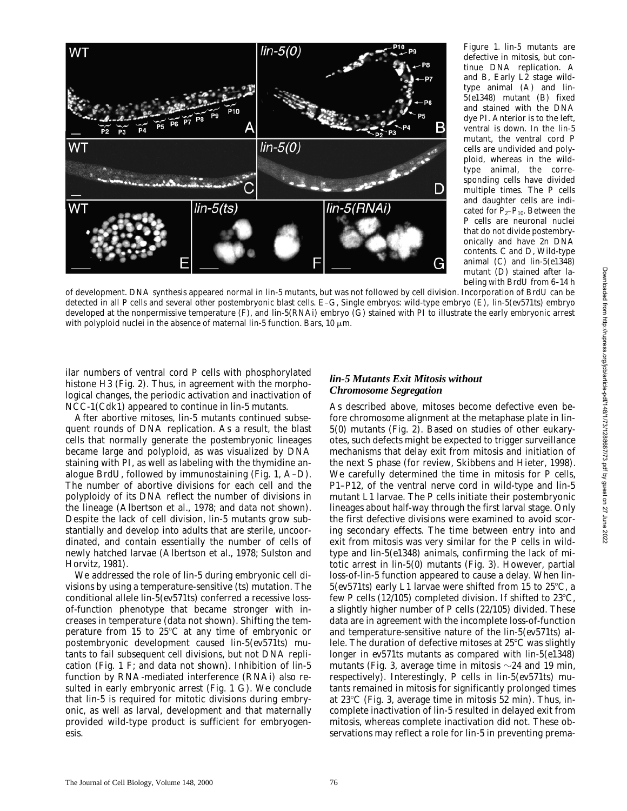

*Figure 1. lin-5* mutants are defective in mitosis, but continue DNA replication. A and B, Early L2 stage wildtype animal (A) and *lin-5(e1348)* mutant (B) fixed and stained with the DNA dye PI. Anterior is to the left, ventral is down. In the *lin-5* mutant, the ventral cord P cells are undivided and polyploid, whereas in the wildtype animal, the corresponding cells have divided multiple times. The P cells and daughter cells are indicated for  $P_2-P_{10}$ . Between the P cells are neuronal nuclei that do not divide postembryonically and have 2n DNA contents. C and D, Wild-type animal (C) and *lin-5(e1348)* mutant (D) stained after labeling with BrdU from 6–14 h

of development. DNA synthesis appeared normal in *lin-5* mutants, but was not followed by cell division. Incorporation of BrdU can be detected in all P cells and several other postembryonic blast cells. E–G, Single embryos: wild-type embryo (E), *lin-5(ev571*ts*)* embryo developed at the nonpermissive temperature (F), and *lin-5(RNAi)* embryo (G) stained with PI to illustrate the early embryonic arrest with polyploid nuclei in the absence of maternal  $\lim_{h \to 0}$  function. Bars, 10  $\mu$ m.

ilar numbers of ventral cord P cells with phosphorylated histone H3 (Fig. 2). Thus, in agreement with the morphological changes, the periodic activation and inactivation of NCC-1(Cdk1) appeared to continue in *lin-5* mutants.

After abortive mitoses, *lin-5* mutants continued subsequent rounds of DNA replication. As a result, the blast cells that normally generate the postembryonic lineages became large and polyploid, as was visualized by DNA staining with PI, as well as labeling with the thymidine analogue BrdU, followed by immunostaining (Fig. 1, A–D). The number of abortive divisions for each cell and the polyploidy of its DNA reflect the number of divisions in the lineage (Albertson et al., 1978; and data not shown). Despite the lack of cell division, *lin-5* mutants grow substantially and develop into adults that are sterile, uncoordinated, and contain essentially the number of cells of newly hatched larvae (Albertson et al., 1978; Sulston and Horvitz, 1981).

We addressed the role of *lin-5* during embryonic cell divisions by using a temperature-sensitive (ts) mutation. The conditional allele *lin-5(ev571*ts*)* conferred a recessive lossof-function phenotype that became stronger with increases in temperature (data not shown). Shifting the temperature from 15 to  $25^{\circ}$ C at any time of embryonic or postembryonic development caused *lin-5(ev571*ts*)* mutants to fail subsequent cell divisions, but not DNA replication (Fig. 1 F; and data not shown). Inhibition of *lin-5* function by RNA-mediated interference (RNAi) also resulted in early embryonic arrest (Fig. 1 G). We conclude that *lin-5* is required for mitotic divisions during embryonic, as well as larval, development and that maternally provided wild-type product is sufficient for embryogenesis.

## *lin-5 Mutants Exit Mitosis without Chromosome Segregation*

As described above, mitoses become defective even before chromosome alignment at the metaphase plate in *lin-5(0)* mutants (Fig. 2). Based on studies of other eukaryotes, such defects might be expected to trigger surveillance mechanisms that delay exit from mitosis and initiation of the next S phase (for review, Skibbens and Hieter, 1998). We carefully determined the time in mitosis for P cells, P1–P12, of the ventral nerve cord in wild-type and *lin-5* mutant L1 larvae. The P cells initiate their postembryonic lineages about half-way through the first larval stage. Only the first defective divisions were examined to avoid scoring secondary effects. The time between entry into and exit from mitosis was very similar for the P cells in wildtype and *lin-5(e1348)* animals, confirming the lack of mitotic arrest in *lin-5(0)* mutants (Fig. 3). However, partial loss-of-*lin-5* function appeared to cause a delay. When *lin-* $5(ev571ts)$  early L1 larvae were shifted from 15 to 25 $\degree$ C, a few P cells (12/105) completed division. If shifted to  $23^{\circ}$ C, a slightly higher number of P cells (22/105) divided. These data are in agreement with the incomplete loss-of-function and temperature-sensitive nature of the *lin-5(ev571*ts*)* allele. The duration of defective mitoses at  $25^{\circ}$ C was slightly longer in *ev571*ts mutants as compared with *lin-5(e1348)* mutants (Fig. 3, average time in mitosis  $\sim$  24 and 19 min, respectively). Interestingly, P cells in *lin-5(ev571*ts*)* mutants remained in mitosis for significantly prolonged times at  $23^{\circ}$ C (Fig. 3, average time in mitosis 52 min). Thus, incomplete inactivation of *lin-5* resulted in delayed exit from mitosis, whereas complete inactivation did not. These observations may reflect a role for *lin-5* in preventing prema-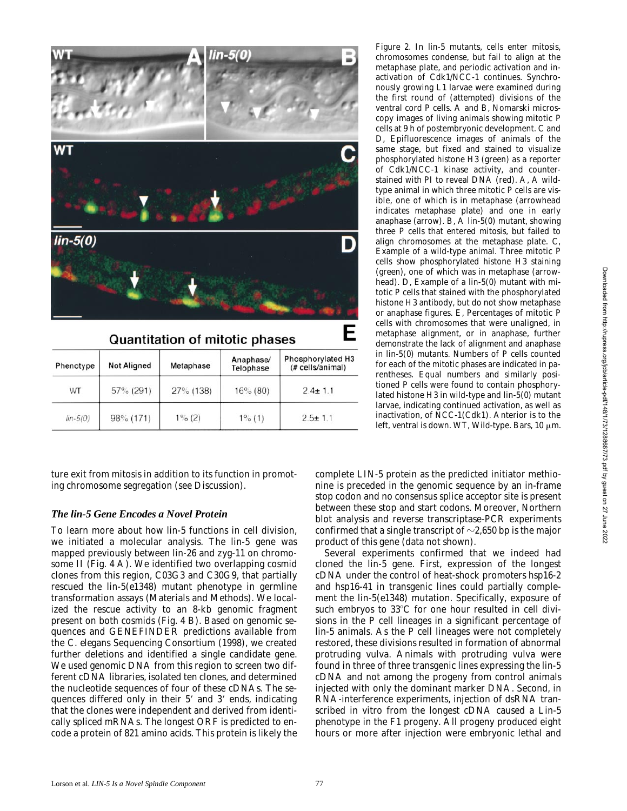

**Quantitation of mitotic phases** 

| Phenotype  | <b>Not Aligned</b> | Metaphase | Anaphase/<br>Telophase | Phosphorylated H3<br>(# cells/animal) |  |
|------------|--------------------|-----------|------------------------|---------------------------------------|--|
| WT         | 57% (291)          | 27% (138) | 16% (80)               | $2.4 \pm 1.1$                         |  |
| $lin-5(0)$ | 98% (171)          | $1\%$ (2) | $1\%$ (1)              | $2.5 \pm 1.1$                         |  |

ture exit from mitosis in addition to its function in promoting chromosome segregation (see Discussion).

## *The lin-5 Gene Encodes a Novel Protein*

To learn more about how *lin-5* functions in cell division, we initiated a molecular analysis. The *lin-5* gene was mapped previously between *lin-26* and *zyg-11* on chromosome II (Fig. 4 A). We identified two overlapping cosmid clones from this region, C03G3 and C30G9, that partially rescued the *lin-5(e1348)* mutant phenotype in germline transformation assays (Materials and Methods). We localized the rescue activity to an 8-kb genomic fragment present on both cosmids (Fig. 4 B). Based on genomic sequences and GENEFINDER predictions available from the *C*. *elegans* Sequencing Consortium (1998), we created further deletions and identified a single candidate gene. We used genomic DNA from this region to screen two different cDNA libraries, isolated ten clones, and determined the nucleotide sequences of four of these cDNAs. The sequences differed only in their 5' and 3' ends, indicating that the clones were independent and derived from identically spliced mRNAs. The longest ORF is predicted to encode a protein of 821 amino acids. This protein is likely the *Figure 2.* In *lin-5* mutants, cells enter mitosis, chromosomes condense, but fail to align at the metaphase plate, and periodic activation and inactivation of Cdk1/NCC-1 continues. Synchronously growing L1 larvae were examined during the first round of (attempted) divisions of the ventral cord P cells. A and B, Nomarski microscopy images of living animals showing mitotic P cells at 9 h of postembryonic development. C and D, Epifluorescence images of animals of the same stage, but fixed and stained to visualize phosphorylated histone H3 (green) as a reporter of Cdk1/NCC-1 kinase activity, and counterstained with PI to reveal DNA (red). A, A wildtype animal in which three mitotic P cells are visible, one of which is in metaphase (arrowhead indicates metaphase plate) and one in early anaphase (arrow). B, A *lin-5(0)* mutant, showing three P cells that entered mitosis, but failed to align chromosomes at the metaphase plate. C, Example of a wild-type animal. Three mitotic P cells show phosphorylated histone H3 staining (green), one of which was in metaphase (arrowhead). D, Example of a *lin-5(0)* mutant with mitotic P cells that stained with the phosphorylated histone H3 antibody, but do not show metaphase or anaphase figures. E, Percentages of mitotic P cells with chromosomes that were unaligned, in metaphase alignment, or in anaphase, further demonstrate the lack of alignment and anaphase in *lin-5(0)* mutants. Numbers of P cells counted for each of the mitotic phases are indicated in parentheses. Equal numbers and similarly positioned P cells were found to contain phosphorylated histone H3 in wild-type and *lin-5(0)* mutant larvae, indicating continued activation, as well as inactivation, of NCC-1(Cdk1). Anterior is to the left, ventral is down. WT, Wild-type. Bars, 10  $\mu$ m.

complete LIN-5 protein as the predicted initiator methionine is preceded in the genomic sequence by an in-frame stop codon and no consensus splice acceptor site is present between these stop and start codons. Moreover, Northern blot analysis and reverse transcriptase-PCR experiments confirmed that a single transcript of  $\sim$ 2,650 bp is the major product of this gene (data not shown).

Several experiments confirmed that we indeed had cloned the *lin-5* gene. First, expression of the longest cDNA under the control of heat-shock promoters *hsp16-2* and *hsp16-41* in transgenic lines could partially complement the *lin-5(e1348)* mutation. Specifically, exposure of such embryos to 33°C for one hour resulted in cell divisions in the P cell lineages in a significant percentage of *lin-5* animals. As the P cell lineages were not completely restored, these divisions resulted in formation of abnormal protruding vulva. Animals with protruding vulva were found in three of three transgenic lines expressing the *lin-5* cDNA and not among the progeny from control animals injected with only the dominant marker DNA. Second, in RNA-interference experiments, injection of dsRNA transcribed in vitro from the longest cDNA caused a Lin-5 phenotype in the F1 progeny. All progeny produced eight hours or more after injection were embryonic lethal and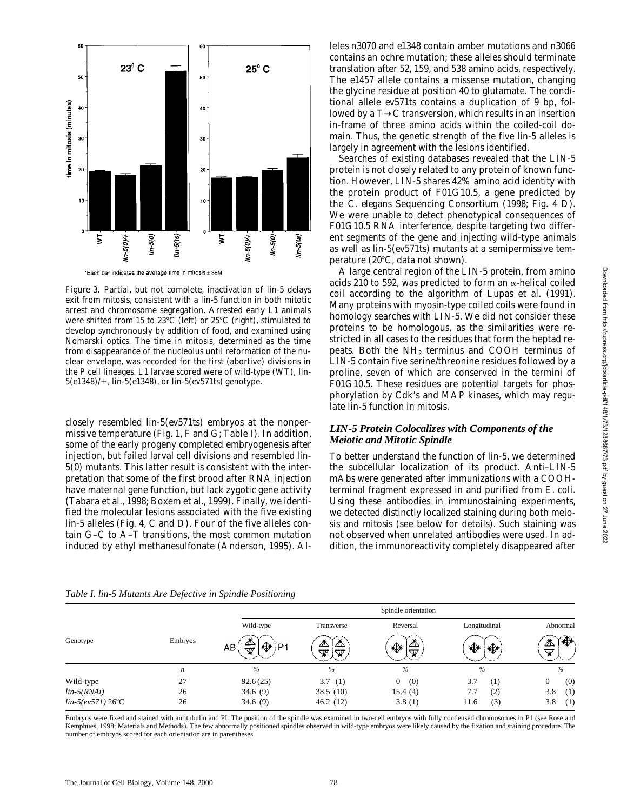

*Figure 3.* Partial, but not complete, inactivation of *lin-5* delays exit from mitosis, consistent with a *lin-5* function in both mitotic arrest and chromosome segregation. Arrested early L1 animals were shifted from 15 to 23°C (left) or 25°C (right), stimulated to develop synchronously by addition of food, and examined using Nomarski optics. The time in mitosis, determined as the time from disappearance of the nucleolus until reformation of the nuclear envelope, was recorded for the first (abortive) divisions in the P cell lineages. L1 larvae scored were of wild-type (WT), *lin-5(e1348)/*1, *lin-5(e1348)*, or *lin-5(ev571*ts*)* genotype.

closely resembled *lin-5(ev571*ts*)* embryos at the nonpermissive temperature (Fig. 1, F and G; Table I). In addition, some of the early progeny completed embryogenesis after injection, but failed larval cell divisions and resembled *lin-5(0)* mutants. This latter result is consistent with the interpretation that some of the first brood after RNA injection have maternal gene function, but lack zygotic gene activity (Tabara et al., 1998; Boxem et al., 1999). Finally, we identified the molecular lesions associated with the five existing *lin-5* alleles (Fig. 4, C and D). Four of the five alleles contain G–C to A–T transitions, the most common mutation induced by ethyl methanesulfonate (Anderson, 1995). Alleles *n3070* and *e1348* contain amber mutations and *n3066* contains an ochre mutation; these alleles should terminate translation after 52, 159, and 538 amino acids, respectively. The *e1457* allele contains a missense mutation, changing the glycine residue at position 40 to glutamate. The conditional allele *ev571*ts contains a duplication of 9 bp, followed by a T→C transversion, which results in an insertion in-frame of three amino acids within the coiled-coil domain. Thus, the genetic strength of the five *lin-5* alleles is largely in agreement with the lesions identified.

Searches of existing databases revealed that the LIN-5 protein is not closely related to any protein of known function. However, LIN-5 shares 42% amino acid identity with the protein product of F01G10.5, a gene predicted by the *C*. *elegans* Sequencing Consortium (1998; Fig. 4 D). We were unable to detect phenotypical consequences of F01G10.5 RNA interference, despite targeting two different segments of the gene and injecting wild-type animals as well as *lin-5(ev571*ts*)* mutants at a semipermissive temperature  $(20^{\circ}C, \text{data not shown}).$ 

A large central region of the LIN-5 protein, from amino acids 210 to 592, was predicted to form an  $\alpha$ -helical coiled coil according to the algorithm of Lupas et al. (1991). Many proteins with myosin-type coiled coils were found in homology searches with LIN-5. We did not consider these proteins to be homologous, as the similarities were restricted in all cases to the residues that form the heptad repeats. Both the  $NH<sub>2</sub>$  terminus and COOH terminus of LIN-5 contain five serine/threonine residues followed by a proline, seven of which are conserved in the termini of F01G10.5. These residues are potential targets for phosphorylation by Cdk's and MAP kinases, which may regulate *lin-5* function in mitosis.

## *LIN-5 Protein Colocalizes with Components of the Meiotic and Mitotic Spindle*

To better understand the function of *lin-5*, we determined the subcellular localization of its product. Anti–LIN-5 mAbs were generated after immunizations with a COOHterminal fragment expressed in and purified from *E*. *coli*. Using these antibodies in immunostaining experiments, we detected distinctly localized staining during both meiosis and mitosis (see below for details). Such staining was not observed when unrelated antibodies were used. In addition, the immunoreactivity completely disappeared after

|                     |         | Spindle orientation              |                                      |                         |               |               |  |
|---------------------|---------|----------------------------------|--------------------------------------|-------------------------|---------------|---------------|--|
|                     |         | Wild-type                        | Transverse                           | Reversal                | Longitudinal  | Abnormal      |  |
| Genotype            | Embryos | ⚠<br>∜a)P1<br>AB<br>$\rm \varpi$ | <i></i> ⊼<br>⚠<br>$\mathbb {V}$<br>▽ | ⚠<br>♦<br>$\mathbb {V}$ | ♦<br>N⊁       | ◈<br>⚠<br>₩   |  |
|                     | n       | $\%$                             | $\%$                                 | $\frac{0}{0}$           | $\frac{0}{0}$ | $\frac{0}{0}$ |  |
| Wild-type           | 27      | 92.6(25)                         | 3.7(1)                               | (0)<br>$\overline{0}$   | 3.7<br>(1)    | (0)           |  |
| $lin-5(RNAi)$       | 26      | 34.6(9)                          | 38.5(10)                             | 15.4(4)                 | 7.7<br>(2)    | 3.8<br>(1)    |  |
| $lin-5(ev571) 26°C$ | 26      | 34.6 $(9)$                       | 46.2(12)                             | 3.8(1)                  | (3)<br>11.6   | 3.8<br>(1)    |  |

*Table I. lin-5 Mutants Are Defective in Spindle Positioning*

Embryos were fixed and stained with antitubulin and PI. The position of the spindle was examined in two-cell embryos with fully condensed chromosomes in P1 (see Rose and Kemphues, 1998; Materials and Methods). The few abnormally positioned spindles observed in wild-type embryos were likely caused by the fixation and staining procedure. The number of embryos scored for each orientation are in parenthese.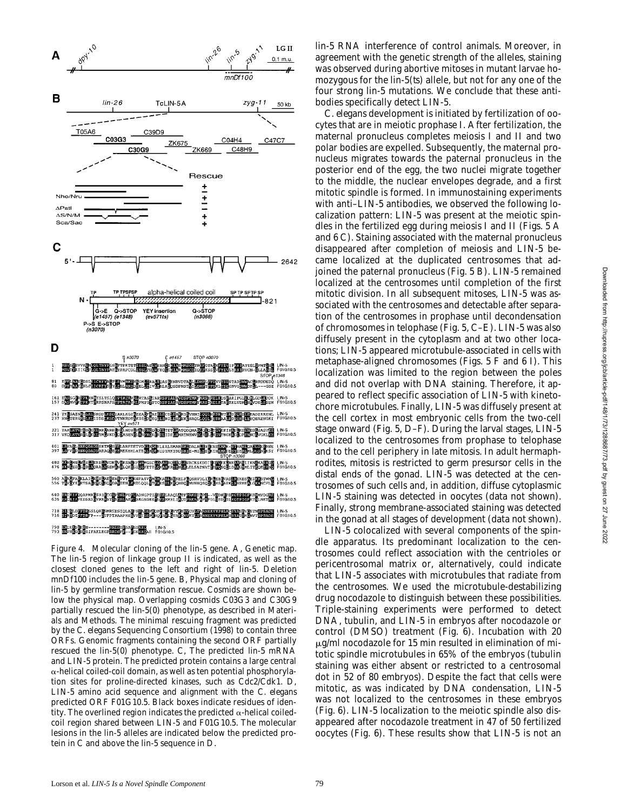

*Figure 4.* Molecular cloning of the *lin-5* gene. A, Genetic map. The *lin-5* region of linkage group II is indicated, as well as the closest cloned genes to the left and right of *lin-5*. Deletion *mnDf100* includes the *lin-5* gene. B, Physical map and cloning of *lin-5* by germline transformation rescue. Cosmids are shown below the physical map. Overlapping cosmids C03G3 and C30G9 partially rescued the *lin-5(0)* phenotype, as described in Materials and Methods. The minimal rescuing fragment was predicted by the *C*. *elegans* Sequencing Consortium (1998) to contain three ORFs. Genomic fragments containing the second ORF partially rescued the *lin-5(0)* phenotype. C, The predicted *lin-5* mRNA and LIN-5 protein. The predicted protein contains a large central  $\alpha$ -helical coiled-coil domain, as well as ten potential phosphorylation sites for proline-directed kinases, such as Cdc2/Cdk1. D, LIN-5 amino acid sequence and alignment with the *C*. *elegans* predicted ORF F01G10.5. Black boxes indicate residues of identity. The overlined region indicates the predicted  $\alpha$ -helical coiledcoil region shared between LIN-5 and F01G10.5. The molecular lesions in the *lin-5* alleles are indicated below the predicted protein in C and above the *lin-5* sequence in D.

*lin-5* RNA interference of control animals. Moreover, in agreement with the genetic strength of the alleles, staining was observed during abortive mitoses in mutant larvae homozygous for the *lin-5(ts)* allele, but not for any one of the four strong *lin-5* mutations. We conclude that these antibodies specifically detect LIN-5.

*C*. *elegans* development is initiated by fertilization of oocytes that are in meiotic prophase I. After fertilization, the maternal pronucleus completes meiosis I and II and two polar bodies are expelled. Subsequently, the maternal pronucleus migrates towards the paternal pronucleus in the posterior end of the egg, the two nuclei migrate together to the middle, the nuclear envelopes degrade, and a first mitotic spindle is formed. In immunostaining experiments with anti–LIN-5 antibodies, we observed the following localization pattern: LIN-5 was present at the meiotic spindles in the fertilized egg during meiosis I and II (Figs. 5 A and 6 C). Staining associated with the maternal pronucleus disappeared after completion of meiosis and LIN-5 became localized at the duplicated centrosomes that adjoined the paternal pronucleus (Fig. 5 B). LIN-5 remained localized at the centrosomes until completion of the first mitotic division. In all subsequent mitoses, LIN-5 was associated with the centrosomes and detectable after separation of the centrosomes in prophase until decondensation of chromosomes in telophase (Fig. 5, C–E). LIN-5 was also diffusely present in the cytoplasm and at two other locations; LIN-5 appeared microtubule-associated in cells with metaphase-aligned chromosomes (Figs. 5 F and 6 I). This localization was limited to the region between the poles and did not overlap with DNA staining. Therefore, it appeared to reflect specific association of LIN-5 with kinetochore microtubules. Finally, LIN-5 was diffusely present at the cell cortex in most embryonic cells from the two-cell stage onward (Fig. 5, D–F). During the larval stages, LIN-5 localized to the centrosomes from prophase to telophase and to the cell periphery in late mitosis. In adult hermaphrodites, mitosis is restricted to germ presursor cells in the distal ends of the gonad. LIN-5 was detected at the centrosomes of such cells and, in addition, diffuse cytoplasmic LIN-5 staining was detected in oocytes (data not shown). Finally, strong membrane-associated staining was detected in the gonad at all stages of development (data not shown).

LIN-5 colocalized with several components of the spindle apparatus. Its predominant localization to the centrosomes could reflect association with the centrioles or pericentrosomal matrix or, alternatively, could indicate that LIN-5 associates with microtubules that radiate from the centrosomes. We used the microtubule-destabilizing drug nocodazole to distinguish between these possibilities. Triple-staining experiments were performed to detect DNA, tubulin, and LIN-5 in embryos after nocodazole or control (DMSO) treatment (Fig. 6). Incubation with 20  $\mu$ g/ml nocodazole for 15 min resulted in elimination of mitotic spindle microtubules in 65% of the embryos (tubulin staining was either absent or restricted to a centrosomal dot in 52 of 80 embryos). Despite the fact that cells were mitotic, as was indicated by DNA condensation, LIN-5 was not localized to the centrosomes in these embryos (Fig. 6). LIN-5 localization to the meiotic spindle also disappeared after nocodazole treatment in 47 of 50 fertilized oocytes (Fig. 6). These results show that LIN-5 is not an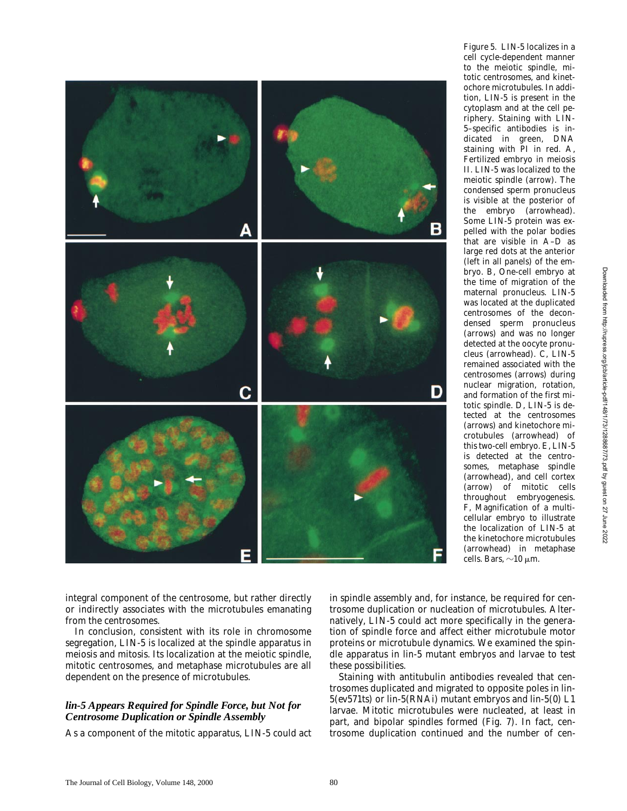

the embryo (arrowhead). Some LIN-5 protein was expelled with the polar bodies that are visible in A–D as large red dots at the anterior (left in all panels) of the embryo. B, One-cell embryo at the time of migration of the maternal pronucleus. LIN-5 was located at the duplicated centrosomes of the decondensed sperm pronucleus (arrows) and was no longer detected at the oocyte pronucleus (arrowhead). C, LIN-5 remained associated with the centrosomes (arrows) during nuclear migration, rotation, and formation of the first mitotic spindle. D, LIN-5 is detected at the centrosomes (arrows) and kinetochore microtubules (arrowhead) of this two-cell embryo. E, LIN-5 is detected at the centrosomes, metaphase spindle (arrowhead), and cell cortex (arrow) of mitotic cells throughout embryogenesis. F, Magnification of a multicellular embryo to illustrate the localization of LIN-5 at the kinetochore microtubules (arrowhead) in metaphase

Downloaded from http://rupress.org/jcb/article-pdf/148/1/73/1288687/73.pdf by guest on 27 June 2022 Downloaded from http://rupress.org/jcb/article-pdf/148/1/73/1288687/73.pdf by guest on 27 June 2022

*Figure 5.* LIN-5 localizes in a cell cycle-dependent manner to the meiotic spindle, mitotic centrosomes, and kinetochore microtubules. In addition, LIN-5 is present in the cytoplasm and at the cell periphery. Staining with LIN-5–specific antibodies is indicated in green, DNA staining with PI in red. A, Fertilized embryo in meiosis II. LIN-5 was localized to the meiotic spindle (arrow). The condensed sperm pronucleus is visible at the posterior of

integral component of the centrosome, but rather directly or indirectly associates with the microtubules emanating from the centrosomes.

In conclusion, consistent with its role in chromosome segregation, LIN-5 is localized at the spindle apparatus in meiosis and mitosis. Its localization at the meiotic spindle, mitotic centrosomes, and metaphase microtubules are all dependent on the presence of microtubules.

## *lin-5 Appears Required for Spindle Force, but Not for Centrosome Duplication or Spindle Assembly*

As a component of the mitotic apparatus, LIN-5 could act

in spindle assembly and, for instance, be required for centrosome duplication or nucleation of microtubules. Alternatively, LIN-5 could act more specifically in the generation of spindle force and affect either microtubule motor proteins or microtubule dynamics. We examined the spindle apparatus in *lin-5* mutant embryos and larvae to test these possibilities.

cells. Bars,  $\sim$ 10  $\mu$ m.

Staining with antitubulin antibodies revealed that centrosomes duplicated and migrated to opposite poles in *lin-5(ev571*ts*)* or *lin-5(RNAi)* mutant embryos and *lin-5(0)* L1 larvae. Mitotic microtubules were nucleated, at least in part, and bipolar spindles formed (Fig. 7). In fact, centrosome duplication continued and the number of cen-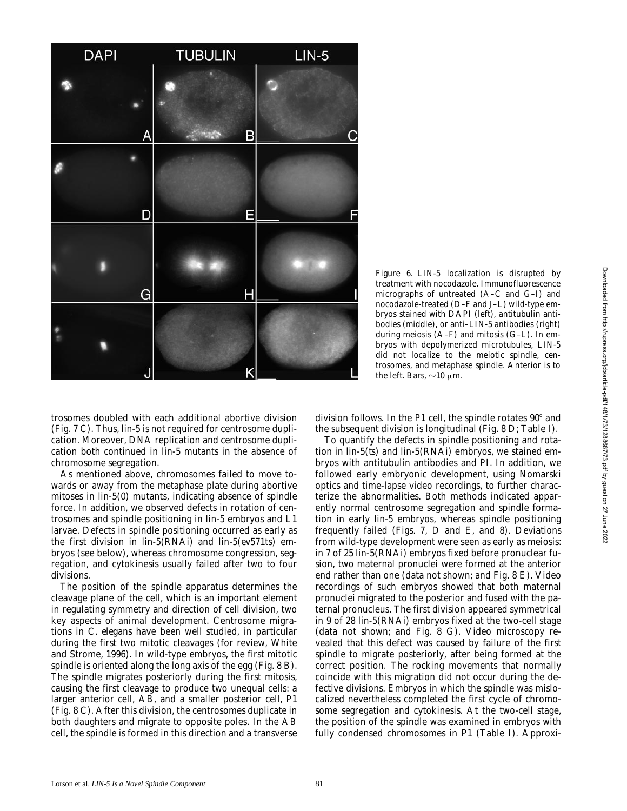

*Figure 6.* LIN-5 localization is disrupted by treatment with nocodazole. Immunofluorescence micrographs of untreated (A–C and G–I) and nocodazole-treated (D–F and J–L) wild-type embryos stained with DAPI (left), antitubulin antibodies (middle), or anti–LIN-5 antibodies (right) during meiosis (A–F) and mitosis (G–L). In embryos with depolymerized microtubules, LIN-5 did not localize to the meiotic spindle, centrosomes, and metaphase spindle. Anterior is to the left. Bars,  $\sim$ 10  $\mu$ m.

trosomes doubled with each additional abortive division (Fig. 7 C). Thus, *lin-5* is not required for centrosome duplication. Moreover, DNA replication and centrosome duplication both continued in *lin-5* mutants in the absence of chromosome segregation.

As mentioned above, chromosomes failed to move towards or away from the metaphase plate during abortive mitoses in *lin-5(0)* mutants, indicating absence of spindle force. In addition, we observed defects in rotation of centrosomes and spindle positioning in *lin-5* embryos and L1 larvae. Defects in spindle positioning occurred as early as the first division in *lin-5(RNAi)* and *lin-5(ev571*ts*)* embryos (see below), whereas chromosome congression, segregation, and cytokinesis usually failed after two to four divisions.

The position of the spindle apparatus determines the cleavage plane of the cell, which is an important element in regulating symmetry and direction of cell division, two key aspects of animal development. Centrosome migrations in *C*. *elegans* have been well studied, in particular during the first two mitotic cleavages (for review, White and Strome, 1996). In wild-type embryos, the first mitotic spindle is oriented along the long axis of the egg (Fig. 8 B). The spindle migrates posteriorly during the first mitosis, causing the first cleavage to produce two unequal cells: a larger anterior cell, AB, and a smaller posterior cell, P1 (Fig. 8 C). After this division, the centrosomes duplicate in both daughters and migrate to opposite poles. In the AB cell, the spindle is formed in this direction and a transverse division follows. In the P1 cell, the spindle rotates  $90^{\circ}$  and the subsequent division is longitudinal (Fig. 8 D; Table I).

To quantify the defects in spindle positioning and rotation in *lin-5(ts)* and *lin-5(RNAi)* embryos, we stained embryos with antitubulin antibodies and PI. In addition, we followed early embryonic development, using Nomarski optics and time-lapse video recordings, to further characterize the abnormalities. Both methods indicated apparently normal centrosome segregation and spindle formation in early *lin-5* embryos, whereas spindle positioning frequently failed (Figs. 7, D and E, and 8). Deviations from wild-type development were seen as early as meiosis: in 7 of 25 *lin-5(RNAi)* embryos fixed before pronuclear fusion, two maternal pronuclei were formed at the anterior end rather than one (data not shown; and Fig. 8 E). Video recordings of such embryos showed that both maternal pronuclei migrated to the posterior and fused with the paternal pronucleus. The first division appeared symmetrical in 9 of 28 *lin-5(RNAi)* embryos fixed at the two-cell stage (data not shown; and Fig. 8 G). Video microscopy revealed that this defect was caused by failure of the first spindle to migrate posteriorly, after being formed at the correct position. The rocking movements that normally coincide with this migration did not occur during the defective divisions. Embryos in which the spindle was mislocalized nevertheless completed the first cycle of chromosome segregation and cytokinesis. At the two-cell stage, the position of the spindle was examined in embryos with fully condensed chromosomes in P1 (Table I). Approxi-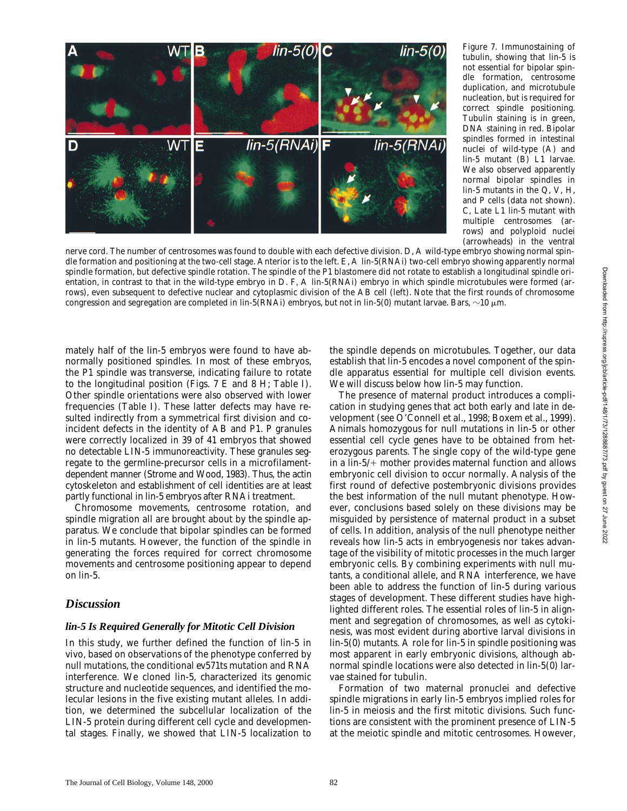

*Figure 7.* Immunostaining of tubulin, showing that *lin-5* is not essential for bipolar spindle formation, centrosome duplication, and microtubule nucleation, but is required for correct spindle positioning. Tubulin staining is in green, DNA staining in red. Bipolar spindles formed in intestinal nuclei of wild-type (A) and *lin-5* mutant (B) L1 larvae. We also observed apparently normal bipolar spindles in *lin-5* mutants in the Q, V, H, and P cells (data not shown). C, Late L1 *lin-5* mutant with multiple centrosomes (arrows) and polyploid nuclei (arrowheads) in the ventral

nerve cord. The number of centrosomes was found to double with each defective division. D, A wild-type embryo showing normal spindle formation and positioning at the two-cell stage. Anterior is to the left. E, A *lin-5(RNAi)* two-cell embryo showing apparently normal spindle formation, but defective spindle rotation. The spindle of the P1 blastomere did not rotate to establish a longitudinal spindle orientation, in contrast to that in the wild-type embryo in D. F, A *lin-5(RNAi)* embryo in which spindle microtubules were formed (arrows), even subsequent to defective nuclear and cytoplasmic division of the AB cell (left). Note that the first rounds of chromosome congression and segregation are completed in *lin-5(RNAi)* embryos, but not in *lin-5(0)* mutant larvae. Bars,  $\sim$ 10  $\mu$ m.

mately half of the *lin-5* embryos were found to have abnormally positioned spindles. In most of these embryos, the P1 spindle was transverse, indicating failure to rotate to the longitudinal position (Figs. 7 E and 8 H; Table I). Other spindle orientations were also observed with lower frequencies (Table I). These latter defects may have resulted indirectly from a symmetrical first division and coincident defects in the identity of AB and P1. P granules were correctly localized in 39 of 41 embryos that showed no detectable LIN-5 immunoreactivity. These granules segregate to the germline-precursor cells in a microfilamentdependent manner (Strome and Wood, 1983). Thus, the actin cytoskeleton and establishment of cell identities are at least partly functional in *lin-5* embryos after RNAi treatment.

Chromosome movements, centrosome rotation, and spindle migration all are brought about by the spindle apparatus. We conclude that bipolar spindles can be formed in *lin-5* mutants. However, the function of the spindle in generating the forces required for correct chromosome movements and centrosome positioning appear to depend on *lin-5*.

## *Discussion*

#### *lin-5 Is Required Generally for Mitotic Cell Division*

In this study, we further defined the function of *lin-5* in vivo, based on observations of the phenotype conferred by null mutations, the conditional *ev571*ts mutation and RNA interference. We cloned *lin-5*, characterized its genomic structure and nucleotide sequences, and identified the molecular lesions in the five existing mutant alleles. In addition, we determined the subcellular localization of the LIN-5 protein during different cell cycle and developmental stages. Finally, we showed that LIN-5 localization to

the spindle depends on microtubules. Together, our data establish that *lin-5* encodes a novel component of the spindle apparatus essential for multiple cell division events. We will discuss below how *lin-5* may function.

The presence of maternal product introduces a complication in studying genes that act both early and late in development (see O'Connell et al., 1998; Boxem et al., 1999). Animals homozygous for null mutations in *lin-5* or other essential cell cycle genes have to be obtained from heterozygous parents. The single copy of the wild-type gene in a *lin-5/*1 mother provides maternal function and allows embryonic cell division to occur normally. Analysis of the first round of defective postembryonic divisions provides the best information of the null mutant phenotype. However, conclusions based solely on these divisions may be misguided by persistence of maternal product in a subset of cells. In addition, analysis of the null phenotype neither reveals how *lin-5* acts in embryogenesis nor takes advantage of the visibility of mitotic processes in the much larger embryonic cells. By combining experiments with null mutants, a conditional allele, and RNA interference, we have been able to address the function of *lin-5* during various stages of development. These different studies have highlighted different roles. The essential roles of *lin-5* in alignment and segregation of chromosomes, as well as cytokinesis, was most evident during abortive larval divisions in *lin-5(0)* mutants. A role for *lin-5* in spindle positioning was most apparent in early embryonic divisions, although abnormal spindle locations were also detected in *lin-5(0)* larvae stained for tubulin.

Formation of two maternal pronuclei and defective spindle migrations in early *lin-5* embryos implied roles for *lin-5* in meiosis and the first mitotic divisions. Such functions are consistent with the prominent presence of LIN-5 at the meiotic spindle and mitotic centrosomes. However,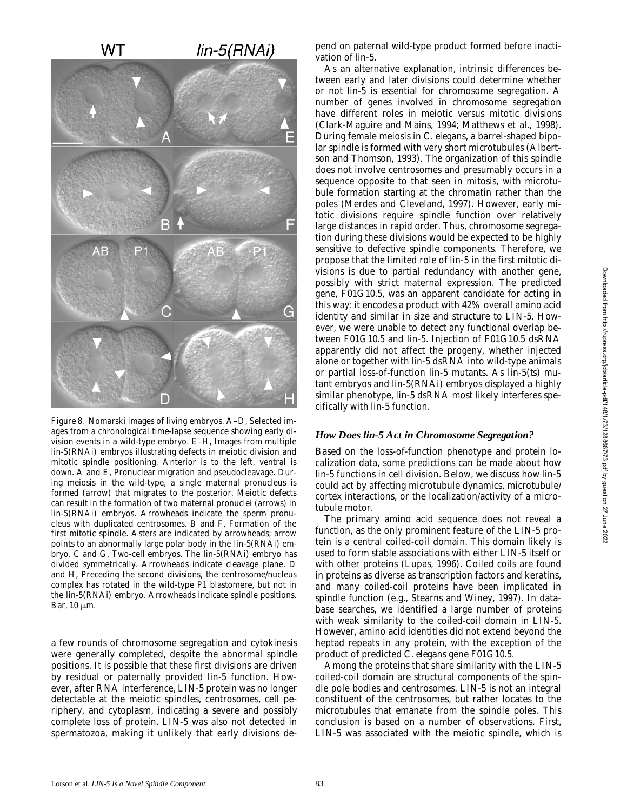

*Figure 8.* Nomarski images of living embryos. A–D, Selected images from a chronological time-lapse sequence showing early division events in a wild-type embryo. E-H, Images from multiple *lin-5(RNAi)* embryos illustrating defects in meiotic division and mitotic spindle positioning. Anterior is to the left, ventral is down. A and E, Pronuclear migration and pseudocleavage. During meiosis in the wild-type, a single maternal pronucleus is formed (arrow) that migrates to the posterior. Meiotic defects can result in the formation of two maternal pronuclei (arrows) in *lin-5(RNAi)* embryos. Arrowheads indicate the sperm pronucleus with duplicated centrosomes. B and F, Formation of the first mitotic spindle. Asters are indicated by arrowheads; arrow points to an abnormally large polar body in the *lin-5(RNAi)* embryo. C and G, Two-cell embryos. The *lin-5(RNAi)* embryo has divided symmetrically. Arrowheads indicate cleavage plane. D and H, Preceding the second divisions, the centrosome/nucleus complex has rotated in the wild-type P1 blastomere, but not in the *lin-5(RNAi)* embryo. Arrowheads indicate spindle positions. Bar,  $10 \mu m$ .

a few rounds of chromosome segregation and cytokinesis were generally completed, despite the abnormal spindle positions. It is possible that these first divisions are driven by residual or paternally provided *lin-5* function. However, after RNA interference, LIN-5 protein was no longer detectable at the meiotic spindles, centrosomes, cell periphery, and cytoplasm, indicating a severe and possibly complete loss of protein. LIN-5 was also not detected in spermatozoa, making it unlikely that early divisions depend on paternal wild-type product formed before inactivation of *lin-5*.

As an alternative explanation, intrinsic differences between early and later divisions could determine whether or not *lin-5* is essential for chromosome segregation. A number of genes involved in chromosome segregation have different roles in meiotic versus mitotic divisions (Clark-Maguire and Mains, 1994; Matthews et al., 1998). During female meiosis in *C*. *elegans*, a barrel-shaped bipolar spindle is formed with very short microtubules (Albertson and Thomson, 1993). The organization of this spindle does not involve centrosomes and presumably occurs in a sequence opposite to that seen in mitosis, with microtubule formation starting at the chromatin rather than the poles (Merdes and Cleveland, 1997). However, early mitotic divisions require spindle function over relatively large distances in rapid order. Thus, chromosome segregation during these divisions would be expected to be highly sensitive to defective spindle components. Therefore, we propose that the limited role of *lin-5* in the first mitotic divisions is due to partial redundancy with another gene, possibly with strict maternal expression. The predicted gene, F01G10.5, was an apparent candidate for acting in this way: it encodes a product with 42% overall amino acid identity and similar in size and structure to LIN-5. However, we were unable to detect any functional overlap between F01G10.5 and *lin-5*. Injection of F01G10.5 dsRNA apparently did not affect the progeny, whether injected alone or together with *lin-5* dsRNA into wild-type animals or partial loss-of-function *lin-5* mutants. As *lin-5(ts)* mutant embryos and *lin-5(RNAi)* embryos displayed a highly similar phenotype, *lin-5* dsRNA most likely interferes specifically with *lin-5* function.

#### *How Does lin-5 Act in Chromosome Segregation?*

Based on the loss-of-function phenotype and protein localization data, some predictions can be made about how *lin-5* functions in cell division. Below, we discuss how *lin-5* could act by affecting microtubule dynamics, microtubule/ cortex interactions, or the localization/activity of a microtubule motor.

The primary amino acid sequence does not reveal a function, as the only prominent feature of the LIN-5 protein is a central coiled-coil domain. This domain likely is used to form stable associations with either LIN-5 itself or with other proteins (Lupas, 1996). Coiled coils are found in proteins as diverse as transcription factors and keratins, and many coiled-coil proteins have been implicated in spindle function (e.g., Stearns and Winey, 1997). In database searches, we identified a large number of proteins with weak similarity to the coiled-coil domain in LIN-5. However, amino acid identities did not extend beyond the heptad repeats in any protein, with the exception of the product of predicted *C*. *elegans* gene F01G10.5.

Among the proteins that share similarity with the LIN-5 coiled-coil domain are structural components of the spindle pole bodies and centrosomes. LIN-5 is not an integral constituent of the centrosomes, but rather locates to the microtubules that emanate from the spindle poles. This conclusion is based on a number of observations. First, LIN-5 was associated with the meiotic spindle, which is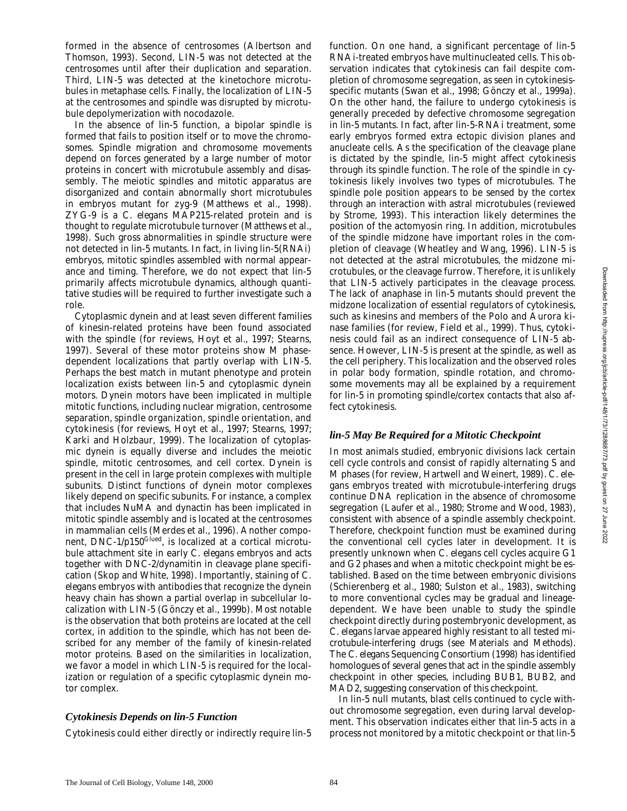formed in the absence of centrosomes (Albertson and Thomson, 1993). Second, LIN-5 was not detected at the centrosomes until after their duplication and separation. Third, LIN-5 was detected at the kinetochore microtubules in metaphase cells. Finally, the localization of LIN-5 at the centrosomes and spindle was disrupted by microtubule depolymerization with nocodazole.

In the absence of *lin-5* function, a bipolar spindle is formed that fails to position itself or to move the chromosomes. Spindle migration and chromosome movements depend on forces generated by a large number of motor proteins in concert with microtubule assembly and disassembly. The meiotic spindles and mitotic apparatus are disorganized and contain abnormally short microtubules in embryos mutant for *zyg-9* (Matthews et al., 1998). ZYG-9 is a *C*. *elegans* MAP215-related protein and is thought to regulate microtubule turnover (Matthews et al., 1998). Such gross abnormalities in spindle structure were not detected in *lin-5* mutants. In fact, in living *lin-5(RNAi)* embryos, mitotic spindles assembled with normal appearance and timing. Therefore, we do not expect that *lin-5* primarily affects microtubule dynamics, although quantitative studies will be required to further investigate such a role.

Cytoplasmic dynein and at least seven different families of kinesin-related proteins have been found associated with the spindle (for reviews, Hoyt et al., 1997; Stearns, 1997). Several of these motor proteins show M phasedependent localizations that partly overlap with LIN-5. Perhaps the best match in mutant phenotype and protein localization exists between *lin-5* and cytoplasmic dynein motors. Dynein motors have been implicated in multiple mitotic functions, including nuclear migration, centrosome separation, spindle organization, spindle orientation, and cytokinesis (for reviews, Hoyt et al., 1997; Stearns, 1997; Karki and Holzbaur, 1999). The localization of cytoplasmic dynein is equally diverse and includes the meiotic spindle, mitotic centrosomes, and cell cortex. Dynein is present in the cell in large protein complexes with multiple subunits. Distinct functions of dynein motor complexes likely depend on specific subunits. For instance, a complex that includes NuMA and dynactin has been implicated in mitotic spindle assembly and is located at the centrosomes in mammalian cells (Merdes et al., 1996). Another component, DNC-1/p150<sup>Glued</sup>, is localized at a cortical microtubule attachment site in early *C*. *elegans* embryos and acts together with DNC-2/dynamitin in cleavage plane specification (Skop and White, 1998). Importantly, staining of *C*. *elegans* embryos with antibodies that recognize the dynein heavy chain has shown a partial overlap in subcellular localization with LIN-5 (Gönczy et al., 1999b). Most notable is the observation that both proteins are located at the cell cortex, in addition to the spindle, which has not been described for any member of the family of kinesin-related motor proteins. Based on the similarities in localization, we favor a model in which LIN-5 is required for the localization or regulation of a specific cytoplasmic dynein motor complex.

## *Cytokinesis Depends on lin-5 Function*

Cytokinesis could either directly or indirectly require *lin-5*

function. On one hand, a significant percentage of *lin-5* RNAi-treated embryos have multinucleated cells. This observation indicates that cytokinesis can fail despite completion of chromosome segregation, as seen in cytokinesisspecific mutants (Swan et al., 1998; Gönczy et al., 1999a). On the other hand, the failure to undergo cytokinesis is generally preceded by defective chromosome segregation in *lin-5* mutants. In fact, after *lin-5*-RNAi treatment, some early embryos formed extra ectopic division planes and anucleate cells. As the specification of the cleavage plane is dictated by the spindle, *lin-5* might affect cytokinesis through its spindle function. The role of the spindle in cytokinesis likely involves two types of microtubules. The spindle pole position appears to be sensed by the cortex through an interaction with astral microtubules (reviewed by Strome, 1993). This interaction likely determines the position of the actomyosin ring. In addition, microtubules of the spindle midzone have important roles in the completion of cleavage (Wheatley and Wang, 1996). LIN-5 is not detected at the astral microtubules, the midzone microtubules, or the cleavage furrow. Therefore, it is unlikely that LIN-5 actively participates in the cleavage process. The lack of anaphase in *lin-5* mutants should prevent the midzone localization of essential regulators of cytokinesis, such as kinesins and members of the Polo and Aurora kinase families (for review, Field et al., 1999). Thus, cytokinesis could fail as an indirect consequence of LIN-5 absence. However, LIN-5 is present at the spindle, as well as the cell periphery. This localization and the observed roles in polar body formation, spindle rotation, and chromosome movements may all be explained by a requirement for *lin-5* in promoting spindle/cortex contacts that also affect cytokinesis.

### *lin-5 May Be Required for a Mitotic Checkpoint*

In most animals studied, embryonic divisions lack certain cell cycle controls and consist of rapidly alternating S and M phases (for review, Hartwell and Weinert, 1989). *C*. *elegans* embryos treated with microtubule-interfering drugs continue DNA replication in the absence of chromosome segregation (Laufer et al., 1980; Strome and Wood, 1983), consistent with absence of a spindle assembly checkpoint. Therefore, checkpoint function must be examined during the conventional cell cycles later in development. It is presently unknown when *C*. *elegans* cell cycles acquire G1 and G2 phases and when a mitotic checkpoint might be established. Based on the time between embryonic divisions (Schierenberg et al., 1980; Sulston et al., 1983), switching to more conventional cycles may be gradual and lineagedependent. We have been unable to study the spindle checkpoint directly during postembryonic development, as *C*. *elegans* larvae appeared highly resistant to all tested microtubule-interfering drugs (see Materials and Methods). The *C*. *elegans* Sequencing Consortium (1998) has identified homologues of several genes that act in the spindle assembly checkpoint in other species, including BUB1, BUB2, and MAD2, suggesting conservation of this checkpoint.

In *lin-5* null mutants, blast cells continued to cycle without chromosome segregation, even during larval development. This observation indicates either that *lin-5* acts in a process not monitored by a mitotic checkpoint or that *lin-5*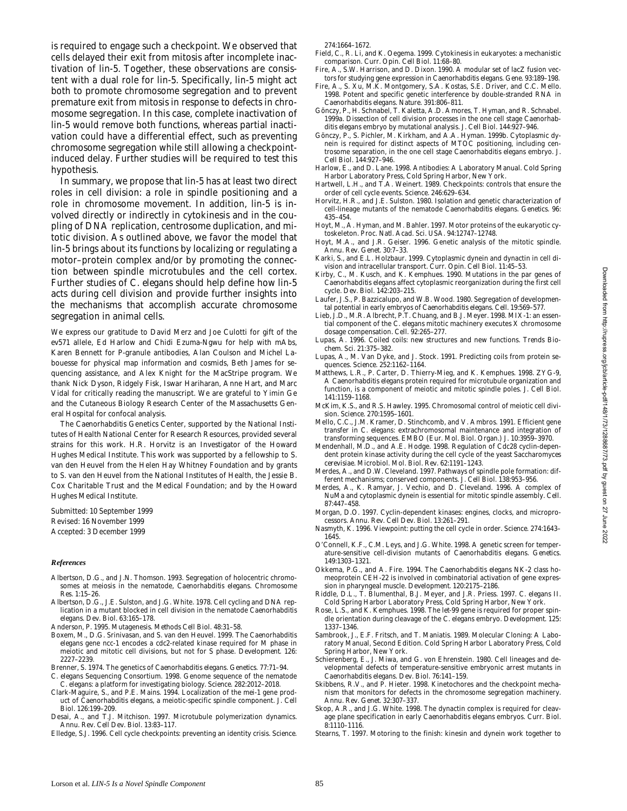is required to engage such a checkpoint. We observed that cells delayed their exit from mitosis after incomplete inactivation of *lin-5*. Together, these observations are consistent with a dual role for *lin-5*. Specifically, *lin-5* might act both to promote chromosome segregation and to prevent premature exit from mitosis in response to defects in chromosome segregation. In this case, complete inactivation of *lin-5* would remove both functions, whereas partial inactivation could have a differential effect, such as preventing chromosome segregation while still allowing a checkpointinduced delay. Further studies will be required to test this hypothesis.

In summary, we propose that *lin-5* has at least two direct roles in cell division: a role in spindle positioning and a role in chromosome movement. In addition, *lin-5* is involved directly or indirectly in cytokinesis and in the coupling of DNA replication, centrosome duplication, and mitotic division. As outlined above, we favor the model that *lin-5* brings about its functions by localizing or regulating a motor–protein complex and/or by promoting the connection between spindle microtubules and the cell cortex. Further studies of *C*. *elegans* should help define how *lin-5* acts during cell division and provide further insights into the mechanisms that accomplish accurate chromosome segregation in animal cells.

We express our gratitude to David Merz and Joe Culotti for gift of the *ev571* allele, Ed Harlow and Chidi Ezuma-Ngwu for help with mAbs, Karen Bennett for P-granule antibodies, Alan Coulson and Michel Labouesse for physical map information and cosmids, Beth James for sequencing assistance, and Alex Knight for the MacStripe program. We thank Nick Dyson, Ridgely Fisk, Iswar Hariharan, Anne Hart, and Marc Vidal for critically reading the manuscript. We are grateful to Yimin Ge and the Cutaneous Biology Research Center of the Massachusetts General Hospital for confocal analysis.

The *Caenorhabditis* Genetics Center, supported by the National Institutes of Health National Center for Research Resources, provided several strains for this work. H.R. Horvitz is an Investigator of the Howard Hughes Medical Institute. This work was supported by a fellowship to S. van den Heuvel from the Helen Hay Whitney Foundation and by grants to S. van den Heuvel from the National Institutes of Health, the Jessie B. Cox Charitable Trust and the Medical Foundation; and by the Howard Hughes Medical Institute.

Submitted: 10 September 1999 Revised: 16 November 1999 Accepted: 3 December 1999

#### *References*

- Albertson, D.G., and J.N. Thomson. 1993. Segregation of holocentric chromosomes at meiosis in the nematode, *Caenorhabditis elegans*. *Chromosome Res*. 1:15–26.
- Albertson, D.G., J.E. Sulston, and J.G. White. 1978. Cell cycling and DNA replication in a mutant blocked in cell division in the nematode *Caenorhabditis elegans*. *Dev. Biol*. 63:165–178.
- Anderson, P. 1995. Mutagenesis. *Methods Cell Biol*. 48:31–58.
- Boxem, M., D.G. Srinivasan, and S. van den Heuvel. 1999. The *Caenorhabditis elegans* gene *ncc-1* encodes a cdc2-related kinase required for M phase in meiotic and mitotic cell divisions, but not for S phase. *Development*. 126: 2227–2239.
- Brenner, S. 1974. The genetics of *Caenorhabditis elegans*. *Genetics*. 77:71–94.
- *C. elegans* Sequencing Consortium. 1998. Genome sequence of the nematode *C*. *elegans*: a platform for investigating biology. *Science*. 282:2012–2018.
- Clark-Maguire, S., and P.E. Mains. 1994. Localization of the *mei-1* gene product of *Caenorhabditis elegans*, a meiotic-specific spindle component. *J. Cell Biol*. 126:199–209.
- Desai, A., and T.J. Mitchison. 1997. Microtubule polymerization dynamics. *Annu. Rev. Cell Dev. Biol*. 13:83–117.
- Elledge, S.J. 1996. Cell cycle checkpoints: preventing an identity crisis. *Science*.

274:1664–1672.

- Field, C., R. Li, and K. Oegema. 1999. Cytokinesis in eukaryotes: a mechanistic comparison. *Curr. Opin. Cell Biol.* 11:68–80.
- Fire, A., S.W. Harrison, and D. Dixon. 1990. A modular set of lacZ fusion vectors for studying gene expression in *Caenorhabditis elegans*. *Gene*. 93:189–198.
- Fire, A., S. Xu, M.K. Montgomery, S.A. Kostas, S.E. Driver, and C.C. Mello. 1998. Potent and specific genetic interference by double-stranded RNA in *Caenorhabditis elegans*. *Nature*. 391:806–811.
- Gönczy, P., H. Schnabel, T. Kaletta, A.D. Amores, T. Hyman, and R. Schnabel. 1999a. Dissection of cell division processes in the one cell stage *Caenorhabditis elegans* embryo by mutational analysis. *J. Cell Biol*. 144:927–946.
- Gönczy, P., S. Pichler, M. Kirkham, and A.A. Hyman. 1999b. Cytoplasmic dynein is required for distinct aspects of MTOC positioning, including centrosome separation, in the one cell stage *Caenorhabditis elegans* embryo. *J. Cell Biol*. 144:927–946.
- Harlow, E., and D. Lane. 1998. Antibodies: A Laboratory Manual. Cold Spring Harbor Laboratory Press, Cold Spring Harbor, New York.
- Hartwell, L.H., and T.A. Weinert. 1989. Checkpoints: controls that ensure the order of cell cycle events. *Science*. 246:629–634.
- Horvitz, H.R., and J.E. Sulston. 1980. Isolation and genetic characterization of cell-lineage mutants of the nematode *Caenorhabditis elegans*. *Genetics*. 96: 435–454.
- Hoyt, M., A. Hyman, and M. Bahler. 1997. Motor proteins of the eukaryotic cytoskeleton. *Proc. Natl. Acad. Sci. USA*. 94:12747–12748.
- Hoyt, M.A., and J.R. Geiser. 1996. Genetic analysis of the mitotic spindle. *Annu. Rev. Genet*. 30:7–33.
- Karki, S., and E.L. Holzbaur. 1999. Cytoplasmic dynein and dynactin in cell division and intracellular transport. *Curr. Opin. Cell Biol*. 11:45–53.
- Kirby, C., M. Kusch, and K. Kemphues. 1990. Mutations in the par genes of *Caenorhabditis elegans* affect cytoplasmic reorganization during the first cell cycle. *Dev. Biol*. 142:203–215.
- Laufer, J.S., P. Bazzicalupo, and W.B. Wood. 1980. Segregation of developmental potential in early embryos of *Caenorhabditis elegans*. *Cell*. 19:569–577.
- Lieb, J.D., M.R. Albrecht, P.T. Chuang, and B.J. Meyer. 1998. MIX-1: an essential component of the *C. elegans* mitotic machinery executes X chromosome dosage compensation. *Cell*. 92:265–277.
- Lupas, A. 1996. Coiled coils: new structures and new functions. *Trends Biochem. Sci*. 21:375–382.
- Lupas, A., M. Van Dyke, and J. Stock. 1991. Predicting coils from protein sequences. *Science*. 252:1162–1164.
- Matthews, L.R., P. Carter, D. Thierry-Mieg, and K. Kemphues. 1998. ZYG-9, A *Caenorhabditis elegans* protein required for microtubule organization and function, is a component of meiotic and mitotic spindle poles. *J. Cell Biol*. 141:1159–1168.
- McKim, K.S., and R.S. Hawley. 1995. Chromosomal control of meiotic cell division. *Science*. 270:1595–1601.
- Mello, C.C., J.M. Kramer, D. Stinchcomb, and V. Ambros. 1991. Efficient gene transfer in *C. elegans*: extrachromosomal maintenance and integration of transforming sequences. *EMBO* (*Eur. Mol. Biol. Organ.*) *J*. 10:3959–3970.
- Mendenhall, M.D., and A.E. Hodge. 1998. Regulation of Cdc28 cyclin-dependent protein kinase activity during the cell cycle of the yeast *Saccharomyces cerevisiae*. *Microbiol. Mol. Biol. Rev*. 62:1191–1243.
- Merdes, A., and D.W. Cleveland. 1997. Pathways of spindle pole formation: different mechanisms; conserved components. *J. Cell Biol*. 138:953–956.
- Merdes, A., K. Ramyar, J. Vechio, and D. Cleveland. 1996. A complex of NuMa and cytoplasmic dynein is essential for mitotic spindle assembly. *Cell*. 87:447–458.
- Morgan, D.O. 1997. Cyclin-dependent kinases: engines, clocks, and microprocessors. *Annu. Rev. Cell Dev. Biol*. 13:261–291.
- Nasmyth, K. 1996. Viewpoint: putting the cell cycle in order. *Science*. 274:1643– 1645.
- O'Connell, K.F., C.M. Leys, and J.G. White. 1998. A genetic screen for temperature-sensitive cell-division mutants of *Caenorhabditis elegans*. *Genetics*. 149:1303–1321.
- Okkema, P.G., and A. Fire. 1994. The *Caenorhabditis elegans* NK-2 class homeoprotein CEH-22 is involved in combinatorial activation of gene expression in pharyngeal muscle. *Development*. 120:2175–2186.
- Riddle, D.L., T. Blumenthal, B.J. Meyer, and J.R. Priess. 1997. *C. elegans* II. Cold Spring Harbor Laboratory Press, Cold Spring Harbor, New York.
- Rose, L.S., and K. Kemphues. 1998. The *let-99* gene is required for proper spindle orientation during cleavage of the *C. elegans* embryo. *Development*. 125: 1337–1346.
- Sambrook, J., E.F. Fritsch, and T. Maniatis. 1989. Molecular Cloning: A Laboratory Manual, Second Edition. Cold Spring Harbor Laboratory Press, Cold Spring Harbor, New York.
- Schierenberg, E., J. Miwa, and G. von Ehrenstein. 1980. Cell lineages and developmental defects of temperature-sensitive embryonic arrest mutants in *Caenorhabditis elegans*. *Dev. Biol*. 76:141–159.
- Skibbens, R.V., and P. Hieter. 1998. Kinetochores and the checkpoint mechanism that monitors for defects in the chromosome segregation machinery. *Annu. Rev. Genet*. 32:307–337.
- Skop, A.R., and J.G. White. 1998. The dynactin complex is required for cleavage plane specification in early *Caenorhabditis elegans* embryos. *Curr. Biol*. 8:1110–1116.
- Stearns, T. 1997. Motoring to the finish: kinesin and dynein work together to